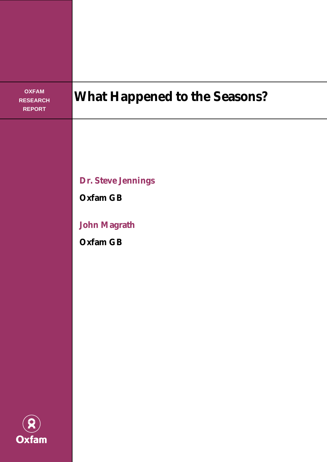**OXFAM RESEARCH REPORT**

# **What Happened to the Seasons?**

**Dr. Steve Jennings** 

**Oxfam GB** 

**John Magrath** 

**Oxfam GB** 

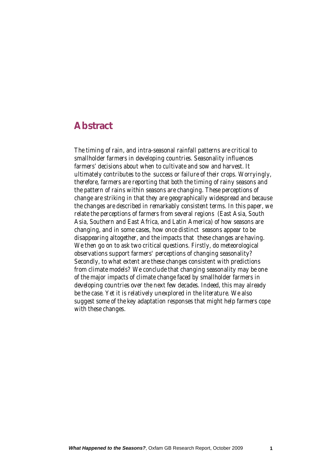## **Abstract**

*The timing of rain, and intra-seasonal rainfall patterns are critical to smallholder farmers in developing countries. Seasonality influences farmers' decisions about when to cultivate and sow and harvest. It ultimately contributes to the success or failure of their crops. Worryingly, therefore, farmers are reporting that both the timing of rainy seasons and the pattern of rains within seasons are changing. These perceptions of change are striking in that they are geographically widespread and because the changes are described in remarkably consistent terms. In this paper, we relate the perceptions of farmers from several regions (East Asia, South Asia, Southern and East Africa, and Latin America) of how seasons are changing, and in some cases, how once distinct seasons appear to be disappearing altogether, and the impacts that these changes are having. We then go on to ask two critical questions. Firstly, do meteorological observations support farmers' perceptions of changing seasonality? Secondly, to what extent are these changes consistent with predictions from climate models? We conclude that changing seasonality may be one of the major impacts of climate change faced by smallholder farmers in developing countries over the next few decades. Indeed, this may already be the case. Yet it is relatively unexplored in the literature. We also suggest some of the key adaptation responses that might help farmers cope with these changes.*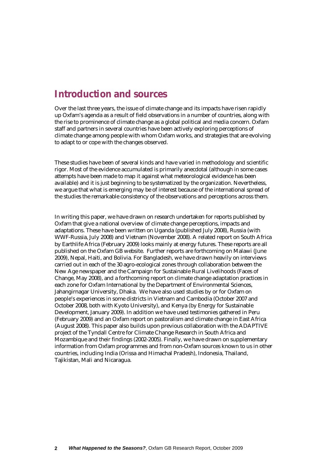# **Introduction and sources**

Over the last three years, the issue of climate change and its impacts have risen rapidly up Oxfam's agenda as a result of field observations in a number of countries, along with the rise to prominence of climate change as a global political and media concern. Oxfam staff and partners in several countries have been actively exploring perceptions of climate change among people with whom Oxfam works, and strategies that are evolving to adapt to or cope with the changes observed.

These studies have been of several kinds and have varied in methodology and scientific rigor. Most of the evidence accumulated is primarily anecdotal (although in some cases attempts have been made to map it against what meteorological evidence has been available) and it is just beginning to be systematized by the organization. Nevertheless, we argue that what is emerging may be of interest because of the international spread of the studies the remarkable consistency of the observations and perceptions across them.

In writing this paper, we have drawn on research undertaken for reports published by Oxfam that give a national overview of climate change perceptions, impacts and adaptations. These have been written on Uganda (published July 2008), Russia (with WWF-Russia, July 2008) and Vietnam (November 2008). A related report on South Africa by Earthlife Africa (February 2009) looks mainly at energy futures. These reports are all published on the Oxfam GB website. Further reports are forthcoming on Malawi (June 2009), Nepal, Haiti, and Bolivia. For Bangladesh, we have drawn heavily on interviews carried out in each of the 30 agro-ecological zones through collaboration between the New Age newspaper and the Campaign for Sustainable Rural Livelihoods (Faces of Change, May 2008), and a forthcoming report on climate change adaptation practices in each zone for Oxfam International by the Department of Environmental Sciences, Jahangirnagar University, Dhaka. We have also used studies by or for Oxfam on people's experiences in some districts in Vietnam and Cambodia (October 2007 and October 2008, both with Kyoto University), and Kenya (by Energy for Sustainable Development, January 2009). In addition we have used testimonies gathered in Peru (February 2009) and an Oxfam report on pastoralism and climate change in East Africa (August 2008). This paper also builds upon previous collaboration with the ADAPTIVE project of the Tyndall Centre for Climate Change Research in South Africa and Mozambique and their findings (2002-2005). Finally, we have drawn on supplementary information from Oxfam programmes and from non-Oxfam sources known to us in other countries, including India (Orissa and Himachal Pradesh), Indonesia, Thailand, Tajikistan, Mali and Nicaragua.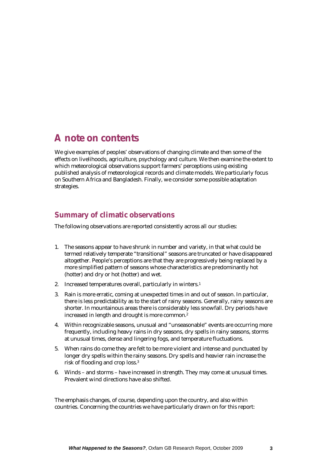## **A note on contents**

We give examples of peoples' observations of changing climate and then some of the effects on livelihoods, agriculture, psychology and culture. We then examine the extent to which meteorological observations support farmers' perceptions using existing published analysis of meteorological records and climate models. We particularly focus on Southern Africa and Bangladesh. Finally, we consider some possible adaptation strategies.

### **Summary of climatic observations**

The following observations are reported consistently across all our studies:

- 1. The seasons appear to have shrunk in number and variety, in that what could be termed relatively temperate "transitional" seasons are truncated or have disappeared altogether. People's perceptions are that they are progressively being replaced by a more simplified pattern of seasons whose characteristics are predominantly hot (hotter) and dry or hot (hotter) and wet.
- 2. Increased temperatures overall, particularly in winters.1
- 3. Rain is more erratic, coming at unexpected times in and out of season. In particular, there is less predictability as to the start of rainy seasons. Generally, rainy seasons are shorter. In mountainous areas there is considerably less snowfall. Dry periods have increased in length and drought is more common.2
- 4. Within recognizable seasons, unusual and "unseasonable" events are occurring more frequently, including heavy rains in dry seasons, dry spells in rainy seasons, storms at unusual times, dense and lingering fogs, and temperature fluctuations.
- 5. When rains do come they are felt to be more violent and intense and punctuated by longer dry spells within the rainy seasons. Dry spells and heavier rain increase the risk of flooding and crop loss.3
- 6. Winds and storms have increased in strength. They may come at unusual times. Prevalent wind directions have also shifted.

The emphasis changes, of course, depending upon the country, and also within countries. Concerning the countries we have particularly drawn on for this report: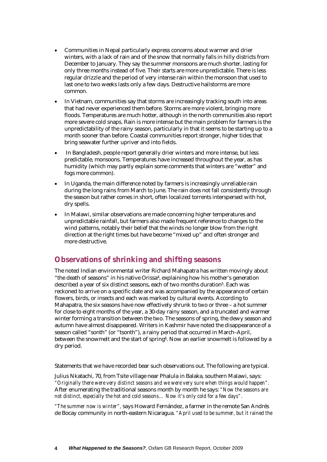- Communities in Nepal particularly express concerns about warmer and drier winters, with a lack of rain and of the snow that normally falls in hilly districts from December to January. They say the summer monsoons are much shorter, lasting for only three months instead of five. Their starts are more unpredictable. There is less regular drizzle and the period of very intense rain within the monsoon that used to last one to two weeks lasts only a few days. Destructive hailstorms are more common.
- In Vietnam, communities say that storms are increasingly tracking south into areas that had never experienced them before. Storms are more violent, bringing more floods. Temperatures are much hotter, although in the north communities also report more severe cold snaps. Rain is more intense but the main problem for farmers is the unpredictability of the rainy season, particularly in that it seems to be starting up to a month sooner than before. Coastal communities report stronger, higher tides that bring seawater further upriver and into fields.
- In Bangladesh, people report generally drier winters and more intense, but less predictable, monsoons. Temperatures have increased throughout the year, as has humidity (which may partly explain some comments that winters are "wetter" and fogs more common).
- In Uganda, the main difference noted by farmers is increasingly unreliable rain during the long rains from March to June. The rain does not fall consistently through the season but rather comes in short, often localized torrents interspersed with hot, dry spells.
- In Malawi, similar observations are made concerning higher temperatures and unpredictable rainfall, but farmers also made frequent reference to changes to the wind patterns, notably their belief that the winds no longer blow from the right direction at the right times but have become "mixed up" and often stronger and more destructive.

### **Observations of shrinking and shifting seasons**

The noted Indian environmental writer Richard Mahapatra has written movingly about "the death of seasons" in his native Orissa4, explaining how his mother's generation described a year of six distinct seasons, each of two months duration<sup>5</sup>. Each was reckoned to arrive on a specific date and was accompanied by the appearance of certain flowers, birds, or insects and each was marked by cultural events. According to Mahapatra, the six seasons have now effectively shrunk to two or three – a hot summer for close to eight months of the year, a 30-day rainy season, and a truncated and warmer winter forming a transition between the two. The seasons of spring, the dewy season and autumn have almost disappeared. Writers in Kashmir have noted the disappearance of a season called "sonth" (or "tsonth"), a rainy period that occurred in March–April, between the snowmelt and the start of spring<sup>6</sup>. Now an earlier snowmelt is followed by a dry period.

Statements that we have recorded bear such observations out. The following are typical.

Julius Nkatachi, 70, from Tsite village near Phalula in Balaka, southern Malawi, says: *"Originally there were very distinct seasons and we were very sure when things would happen".*  After enumerating the traditional seasons month by month he says: *"Now the seasons are not distinct, especially the hot and cold seasons… Now it's only cold for a few days".*

*"The summer now is winter",* says Howard Fernández, a farmer in the remote San Andrés de Bocay community in north-eastern Nicaragua. *"April used to be summer, but it rained the*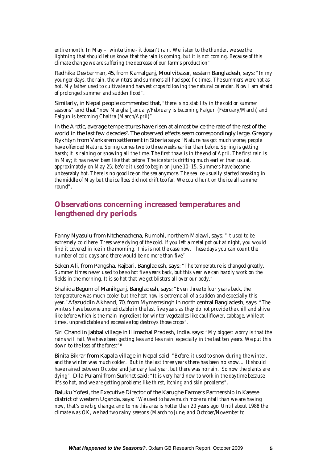*entire month. In May – wintertime - it doesn't rain. We listen to the thunder, we see the lightning that should let us know that the rain is coming, but it is not coming. Because of this climate change we are suffering the decrease of our farm's production"* 

Radhika Devbarman, 45, from Kamalganj, Moulvibazar, eastern Bangladesh, says: *"In my younger days, the rain, the winters and summers all had specific times. The summers were not as hot. My father used to cultivate and harvest crops following the natural calendar. Now I am afraid of prolonged summer and sudden flood".* 

Similarly, in Nepal people commented that, *"there is no stability in the cold or summer seasons"* and that *"now Margha (January/February is becoming Falgun (February/March) and Falgun is becoming Chaitra (March/April)".*

In the Arctic, average temperatures have risen at almost twice the rate of the rest of the world in the last few decades7. The observed effects seem correspondingly large. Gregory Rykhtyn from Vankarem settlement in Siberia says: *"Nature has got much worse, people have offended Nature. Spring comes two to three weeks earlier than before. Spring is getting harsh; it is raining or snowing all the time. The first thaw is in the end of April. The first rain is in May; it has never been like that before. The ice starts drifting much earlier than usual, approximately on May 25; before it used to begin on June 10–15. Summers have become unbearably hot. There is no good ice on the sea anymore. The sea ice usually started breaking in the middle of May but the ice floes did not drift too far. We could hunt on the ice all summer round".* 

### **Observations concerning increased temperatures and lengthened dry periods**

Fanny Nyasulu from Ntchenachena, Rumphi, northern Malawi, says: *"It used to be extremely cold here. Trees were dying of the cold. If you left a metal pot out at night, you would find it covered in ice in the morning. This is not the case now. These days you can count the number of cold days and there would be no more than five".*

Seken Ali, from Pangsha, Rajbari, Bangladesh, says: *"The temperature is changed greatly. Summer times never used to be so hot five years back, but this year we can hardly work on the fields in the morning. It is so hot that we get blisters all over our body."*

Shahida Begum of Manikganj, Bangladesh, says: *"Even three to four years back, the temperature was much cooler but the heat now is extreme all of a sudden and especially this year."*Afazuddin Akhand, 70, from Mymemsingh in north central Bangladesh, says*: "The winters have become unpredictable in the last five years as they do not provide the chill and shiver like before which is the main ingredient for winter vegetables like cauliflower, cabbage, while at times, unpredictable and excessive fog destroys those crops".* 

Siri Chand in Jabbal village in Himachal Pradesh, India, says*: "My biggest worry is that the rains will fail. We have been getting less and less rain, especially in the last ten years. We put this down to the loss of the forest"8* 

Binita Bikrar from Kapala village in Nepal said: *"Before, it used to snow during the winter, and the winter was much colder. But in the last three years there has been no snow… It should have rained between October and January last year, but there was no rain. So now the plants are dying".* Dila Pulami from Surkhet said: *"It is very hard now to work in the daytime because it's so hot, and we are getting problems like thirst, itching and skin problems".*

Baluku Yofesi, the Executive Director of the Karughe Farmers Partnership in Kasese district of western Uganda, says: *"We used to have much more rainfall than we are having now, that's one big change, and to me this area is hotter than 20 years ago. Until about 1988 the climate was OK, we had two rainy seasons (March to June, and October/November to*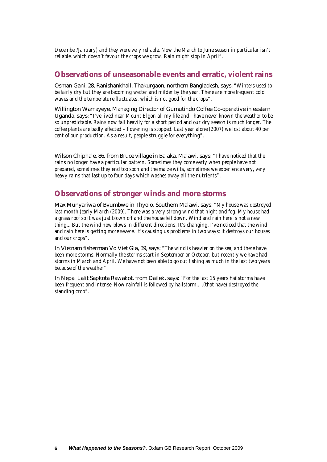*December/January) and they were very reliable. Now the March to June season in particular isn't reliable, which doesn't favour the crops we grow. Rain might stop in April".* 

#### **Observations of unseasonable events and erratic, violent rains**

Osman Gani, 28, Ranishankhail, Thakurgaon, northern Bangladesh, says: *"Winters used to be fairly dry but they are becoming wetter and milder by the year. There are more frequent cold waves and the temperature fluctuates, which is not good for the crops".* 

Willington Wamayeye, Managing Director of Gumutindo Coffee Co-operative in eastern Uganda, says: *"I've lived near Mount Elgon all my life and I have never known the weather to be so unpredictable. Rains now fall heavily for a short period and our dry season is much longer. The coffee plants are badly affected – flowering is stopped. Last year alone (2007) we lost about 40 per cent of our production. As a result, people struggle for everything".* 

Wilson Chiphale, 86, from Bruce village in Balaka, Malawi, says: *"I have noticed that the rains no longer have a particular pattern. Sometimes they come early when people have not prepared, sometimes they end too soon and the maize wilts, sometimes we experience very, very heavy rains that last up to four days which washes away all the nutrients".* 

#### **Observations of stronger winds and more storms**

Max Munyariwa of Bvumbwe in Thyolo, Southern Malawi, says: *"My house was destroyed last month (early March (2009). There was a very strong wind that night and fog. My house had a grass roof so it was just blown off and the house fell down. Wind and rain here is not a new thing... But the wind now blows in different directions. It's changing. I've noticed that the wind and rain here is getting more severe. It's causing us problems in two ways: it destroys our houses and our crops".* 

In Vietnam fisherman Vo Viet Gia, 39, says: *"The wind is heavier on the sea, and there have been more storms. Normally the storms start in September or October, but recently we have had storms in March and April. We have not been able to go out fishing as much in the last two years because of the weather".*

In Nepal Lalit Sapkota Rawakot, from Dailek, says: *"For the last 15 years hailstorms have been frequent and intense. Now rainfall is followed by hailstorm….(that have) destroyed the standing crop".*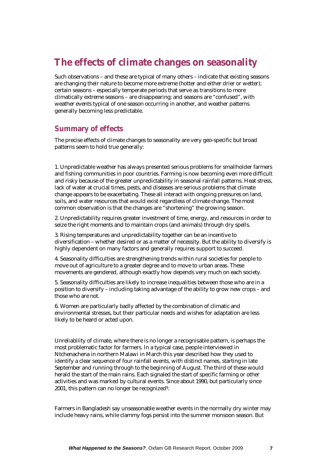# **The effects of climate changes on seasonality**

Such observations – and these are typical of many others – indicate that existing seasons are changing their nature to become more extreme (hotter and either drier or wetter); certain seasons – especially temperate periods that serve as transitions to more climatically extreme seasons – are disappearing; and seasons are "confused", with weather events typical of one season occurring in another, and weather patterns generally becoming less predictable.

#### **Summary of effects**

The precise effects of climate changes to seasonality are very geo-specific but broad patterns seem to hold true generally:

1. Unpredictable weather has always presented serious problems for smallholder farmers and fishing communities in poor countries. Farming is now becoming even more difficult and risky because of the greater unpredictability in seasonal rainfall patterns. Heat stress, lack of water at crucial times, pests, and diseases are serious problems that climate change appears to be exacerbating. These all interact with ongoing pressures on land, soils, and water resources that would exist regardless of climate change. The most common observation is that the changes are "shortening" the growing season.

2. Unpredictability requires greater investment of time, energy, and resources in order to seize the right moments and to maintain crops (and animals) through dry spells.

3. Rising temperatures and unpredictability together can be an incentive to diversification – whether desired or as a matter of necessity. But the ability to diversify is highly dependent on many factors and generally requires support to succeed.

4. Seasonality difficulties are strengthening trends within rural societies for people to move out of agriculture to a greater degree and to move to urban areas. These movements are gendered, although exactly how depends very much on each society.

5. Seasonality difficulties are likely to increase inequalities between those who are in a position to diversify – including taking advantage of the ability to grow new crops – and those who are not.

6. Women are particularly badly affected by the combination of climatic and environmental stresses, but their particular needs and wishes for adaptation are less likely to be heard or acted upon.

Unreliability of climate, where there is no longer a recognisable pattern, is perhaps the most problematic factor for farmers. In a typical case, people interviewed in Ntchenachena in northern Malawi in March this year described how they used to identify a clear sequence of four rainfall events, with distinct names, starting in late September and running through to the beginning of August. The third of these would herald the start of the main rains. Each signaled the start of specific farming or other activities and was marked by cultural events. Since about 1990, but particularly since 2001, this pattern can no longer be recognized9.

Farmers in Bangladesh say unseasonable weather events in the normally dry winter may include heavy rains, while clammy fogs persist into the summer monsoon season. But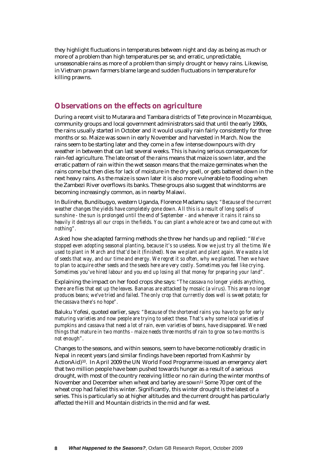they highlight fluctuations in temperatures between night and day as being as much or more of a problem than high temperatures per se, and erratic, unpredictable, unseasonable rains as more of a problem than simply drought or heavy rains. Likewise, in Vietnam prawn farmers blame large and sudden fluctuations in temperature for killing prawns.

#### **Observations on the effects on agriculture**

During a recent visit to Mutarara and Tambara districts of Tete province in Mozambique, community groups and local government administrators said that until the early 1990s, the rains usually started in October and it would usually rain fairly consistently for three months or so. Maize was sown in early November and harvested in March. Now the rains seem to be starting later and they come in a few intense downpours with dry weather in between that can last several weeks. This is having serious consequences for rain-fed agriculture. The late onset of the rains means that maize is sown later, and the erratic pattern of rain within the wet season means that the maize germinates when the rains come but then dies for lack of moisture in the dry spell, or gets battered down in the next heavy rains. As the maize is sown later it is also more vulnerable to flooding when the Zambezi River overflows its banks. These groups also suggest that windstorms are becoming increasingly common, as in nearby Malawi.

In Bulirehe, Bundibugyo, western Uganda, Florence Madamu says*: "Because of the current weather changes the yields have completely gone down. All this is a result of long spells of sunshine - the sun is prolonged until the end of September - and whenever it rains it rains so heavily it destroys all our crops in the fields. You can plant a whole acre or two and come out with nothing".* 

Asked how she adapted farming methods she threw her hands up and replied: *"We've stopped even adopting seasonal planting, because it's so useless. Now we just try all the time. We used to plant in March and that'd be it (finished). Now we plant and plant again. We waste a lot of seeds that way, and our time and energy. We regret it so often, why we planted. Then we have to plan to acquire other seeds and the seeds here are very costly. Sometimes you feel like crying. Sometimes you've hired labour and you end up losing all that money for preparing your land".* 

Explaining the impact on her food crops she says: *"The cassava no longer yields anything, there are flies that eat up the leaves. Bananas are attacked by mosaic (a virus). This area no longer produces beans; we've tried and failed. The only crop that currently does well is sweet potato; for the cassava there's no hope".* 

Baluku Yofesi, quoted earlier, says*: "Because of the shortened rains you have to go for early maturing varieties and now people are trying to select these. That's why some local varieties of pumpkins and cassava that need a lot of rain, even varieties of beans, have disappeared. We need things that mature in two months - maize needs three months of rain to grow so two months is not enough".* 

Changes to the seasons, and within seasons, seem to have become noticeably drastic in Nepal in recent years (and similar findings have been reported from Kashmir by ActionAid)10. In April 2009 the UN World Food Programme issued an emergency alert that two million people have been pushed towards hunger as a result of a serious drought, with most of the country receiving little or no rain during the winter months of November and December when wheat and barley are sown<sup>11</sup> Some 70 per cent of the wheat crop had failed this winter. Significantly, this winter drought is the latest of a series. This is particularly so at higher altitudes and the current drought has particularly affected the Hill and Mountain districts in the mid and far west.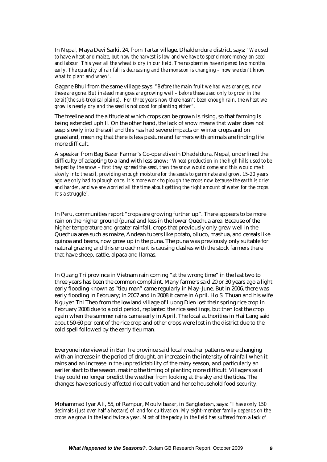In Nepal, Maya Devi Sarki, 24, from Tartar village, Dhaldendura district, says*: "We used to have wheat and maize, but now the harvest is low and we have to spend more money on seed and labour. This year all the wheat is dry in our field. The raspberries have ripened two months early. The quantity of rainfall is decreasing and the monsoon is changing – now we don't know what to plant and when".* 

Gagane Bhul from the same village says: *"Before the main fruit we had was oranges, now these are gone. But instead mangoes are growing well – before these used only to grow in the terai([the sub-tropical plains). For three years now there hasn't been enough rain, the wheat we grow is nearly dry and the seed is not good for planting either".* 

The treeline and the altitude at which crops can be grown is rising, so that farming is being extended uphill. On the other hand, the lack of snow means that water does not seep slowly into the soil and this has had severe impacts on winter crops and on grassland, meaning that there is less pasture and farmers with animals are finding life more difficult.

A speaker from Bag Bazar Farmer's Co-operative in Dhadeldura, Nepal, underlined the difficulty of adapting to a land with less snow: *"Wheat production in the high hills used to be helped by the snow – first they spread the seed, then the snow would come and this would melt slowly into the soil, providing enough moisture for the seeds to germinate and grow. 15-20 years ago we only had to plough once. It's more work to plough the crops now because the earth is drier and harder, and we are worried all the time about getting the right amount of water for the crops. It's a struggle".* 

In Peru, communities report "crops are growing further up". There appears to be more rain on the higher ground (puna) and less in the lower Quechua area. Because of the higher temperature and greater rainfall, crops that previously only grew well in the Quechua area such as maize, Andean tubers like potato, olluco, mashua, and cereals like quinoa and beans, now grow up in the puna. The puna was previously only suitable for natural grazing and this encroachment is causing clashes with the stock farmers there that have sheep, cattle, alpaca and llamas.

In Quang Tri province in Vietnam rain coming "at the wrong time" in the last two to three years has been the common complaint. Many farmers said 20 or 30 years ago a light early flooding known as "tieu man" came regularly in May–June. But in 2006, there was early flooding in February; in 2007 and in 2008 it came in April. Ho Si Thuan and his wife Nguyen Thi Theo from the lowland village of Luong Dien lost their spring rice crop in February 2008 due to a cold period, replanted the rice seedlings, but then lost the crop again when the summer rains came early in April. The local authorities in Hai Lang said about 50-60 per cent of the rice crop and other crops were lost in the district due to the cold spell followed by the early tieu man.

Everyone interviewed in Ben Tre province said local weather patterns were changing with an increase in the period of drought, an increase in the intensity of rainfall when it rains and an increase in the unpredictability of the rainy season, and particularly an earlier start to the season, making the timing of planting more difficult. Villagers said they could no longer predict the weather from looking at the sky and the tides. The changes have seriously affected rice cultivation and hence household food security.

Mohammad Iyar Ali, 55, of Rampur, Moulvibazar, in Bangladesh, says: *"I have only 150 decimals (just over half a hectare) of land for cultivation. My eight-member family depends on the crops we grow in the land twice a year. Most of the paddy in the field has suffered from a lack of*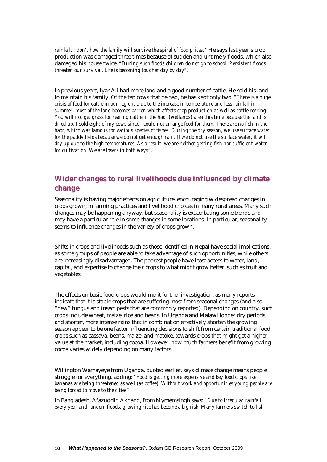*rainfall. I don't how the family will survive the spiral of food prices."* He says last year's crop production was damaged three times because of sudden and untimely floods, which also damaged his house twice. *"During such floods children do not go to school. Persistent floods threaten our survival. Life is becoming tougher day by day".* 

In previous years, Iyar Ali had more land and a good number of cattle. He sold his land to maintain his family. Of the ten cows that he had, he has kept only two*. "There is a huge crisis of food for cattle in our region. Due to the increase in temperature and less rainfall in summer, most of the land becomes barren which affects crop production as well as cattle rearing. You will not get grass for rearing cattle in the haor (wetlands) area this time because the land is dried up. I sold eight of my cows since I could not arrange food for them. There are no fish in the haor, which was famous for various species of fishes. During the dry season, we use surface water for the paddy fields because we do not get enough rain. If we do not use the surface water, it will dry up due to the high temperatures. As a result, we are neither getting fish nor sufficient water for cultivation. We are losers in both ways".* 

## **Wider changes to rural livelihoods due influenced by climate change**

Seasonality is having major effects on agriculture, encouraging widespread changes in crops grown, in farming practices and livelihood choices in many rural areas. Many such changes may be happening anyway, but seasonality is exacerbating some trends and may have a particular role in some changes in some locations. In particular, seasonality seems to influence changes in the variety of crops grown.

Shifts in crops and livelihoods such as those identified in Nepal have social implications, as some groups of people are able to take advantage of such opportunities, while others are increasingly disadvantaged. The poorest people have least access to water, land, capital, and expertise to change their crops to what might grow better, such as fruit and vegetables.

The effects on basic food crops would merit further investigation, as many reports indicate that it is staple crops that are suffering most from seasonal changes (and also "new" fungus and insect pests that are commonly reported). Depending on country, such crops include wheat, maize, rice and beans. In Uganda and Malawi longer dry periods and shorter, more intense rains that in combination effectively shorten the growing season appear to be one factor influencing decisions to shift from certain traditional food crops such as cassava, beans, maize, and matoke, towards crops that might get a higher value at the market, including cocoa. However, how much farmers benefit from growing cocoa varies widely depending on many factors.

Willington Wamayeye from Uganda, quoted earlier, says climate change means people struggle for everything, adding*: "Food is getting more expensive and key food crops like bananas are being threatened as well (as coffee). Without work and opportunities young people are being forced to move to the cities".*

In Bangladesh, Afazuddin Akhand, from Mymemsingh says*: "Due to irregular rainfall every year and random floods, growing rice has become a big risk. Many farmers switch to fish*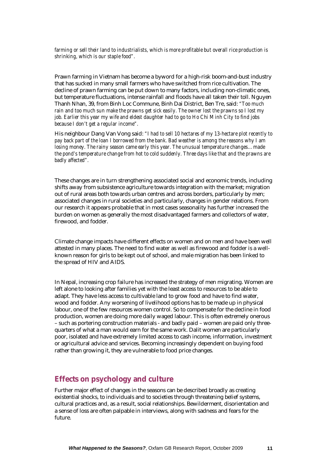*farming or sell their land to industrialists, which is more profitable but overall rice production is shrinking, which is our staple food".* 

Prawn farming in Vietnam has become a byword for a high-risk boom-and-bust industry that has sucked in many small farmers who have switched from rice cultivation. The decline of prawn farming can be put down to many factors, including non-climatic ones, but temperature fluctuations, intense rainfall and floods have all taken their toll. Nguyen Thanh Nhan, 39, from Binh Loc Commune, Binh Dai District, Ben Tre, said: *"Too much rain and too much sun make the prawns get sick easily. The owner lost the prawns so I lost my job. Earlier this year my wife and eldest daughter had to go to Ho Chi Minh City to find jobs because I don't get a regular income".* 

His neighbour Dang Van Vong said: *"I had to sell 10 hectares of my 13-hectare plot recently to pay back part of the loan I borrowed from the bank. Bad weather is among the reasons why I am losing money. The rainy season came early this year. The unusual temperature changes…made the pond's temperature change from hot to cold suddenly. Three days like that and the prawns are badly affected".*

These changes are in turn strengthening associated social and economic trends, including shifts away from subsistence agriculture towards integration with the market; migration out of rural areas both towards urban centres and across borders, particularly by men; associated changes in rural societies and particularly, changes in gender relations. From our research it appears probable that in most cases seasonality has further increased the burden on women as generally the most disadvantaged farmers and collectors of water, firewood, and fodder.

Climate change impacts have different effects on women and on men and have been well attested in many places. The need to find water as well as firewood and fodder is a wellknown reason for girls to be kept out of school, and male migration has been linked to the spread of HIV and AIDS.

In Nepal, increasing crop failure has increased the strategy of men migrating. Women are left alone to looking after families yet with the least access to resources to be able to adapt. They have less access to cultivable land to grow food and have to find water, wood and fodder. Any worsening of livelihood options has to be made up in physical labour, one of the few resources women control. So to compensate for the decline in food production, women are doing more daily waged labour. This is often extremely onerous – such as portering construction materials - and badly paid – women are paid only threequarters of what a man would earn for the same work. Dalit women are particularly poor, isolated and have extremely limited access to cash income, information, investment or agricultural advice and services. Becoming increasingly dependent on buying food rather than growing it, they are vulnerable to food price changes.

## **Effects on psychology and culture**

Further major effect of changes in the seasons can be described broadly as creating existential shocks, to individuals and to societies through threatening belief systems, cultural practices and, as a result, social relationships. Bewilderment, disorientation and a sense of loss are often palpable in interviews, along with sadness and fears for the future.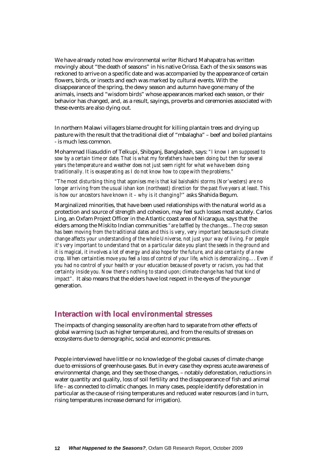We have already noted how environmental writer Richard Mahapatra has written movingly about "the death of seasons" in his native Orissa. Each of the six seasons was reckoned to arrive on a specific date and was accompanied by the appearance of certain flowers, birds, or insects and each was marked by cultural events. With the disappearance of the spring, the dewy season and autumn have gone many of the animals, insects and "wisdom birds" whose appearances marked each season, or their behavior has changed, and, as a result, sayings, proverbs and ceremonies associated with these events are also dying out.

In northern Malawi villagers blame drought for killing plantain trees and drying up pasture with the result that the traditional diet of "mbalagha" – beef and boiled plantains - is much less common.

Mohammad Iliasuddin of Telkupi, Shibganj, Bangladesh, says: *"I know I am supposed to sow by a certain time or date. That is what my forefathers have been doing but then for several years the temperature and weather does not just seem right for what we have been doing traditionally. It is exasperating as I do not know how to cope with the problems."* 

*"The most disturbing thing that agonises me is that kal baishakhi storms (Nor'westers) are no longer arriving from the usual ishan kon (northeast) direction for the past five years at least. This is how our ancestors have known it – why is it changing?"* asks Shahida Begum.

Marginalized minorities, that have been used relationships with the natural world as a protection and source of strength and cohesion, may feel such losses most acutely. Carlos Ling, an Oxfam Project Officer in the Atlantic coast area of Nicaragua, says that the elders among the Miskito Indian communities *"are baffled by the changes…The crop season has been moving from the traditional dates and this is very, very important because such climate change affects your understanding of the whole Universe, not just your way of living. For people it's very important to understand that on a particular date you plant the seeds in the ground and it is magical, it involves a lot of energy and also hope for the future, and also certainty of a new crop. When certainties move you feel a loss of control of your life, which is demoralizing…. Even if you had no control of your health or your education because of poverty or racism, you had that certainty inside you. Now there's nothing to stand upon; climate change has had that kind of impact"*. It also means that the elders have lost respect in the eyes of the younger generation.

#### **Interaction with local environmental stresses**

The impacts of changing seasonality are often hard to separate from other effects of global warming (such as higher temperatures), and from the results of stresses on ecosystems due to demographic, social and economic pressures.

People interviewed have little or no knowledge of the global causes of climate change due to emissions of greenhouse gases. But in every case they express acute awareness of environmental change, and they see those changes, – notably deforestation, reductions in water quantity and quality, loss of soil fertility and the disappearance of fish and animal life – as connected to climatic changes. In many cases, people identify deforestation in particular as the cause of rising temperatures and reduced water resources (and in turn, rising temperatures increase demand for irrigation).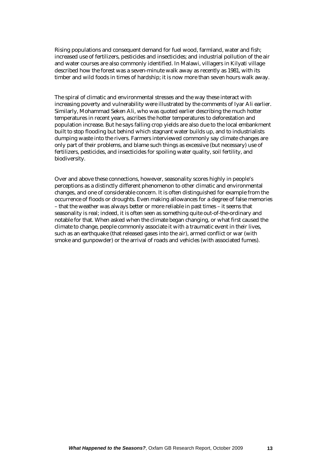Rising populations and consequent demand for fuel wood, farmland, water and fish; increased use of fertilizers, pesticides and insecticides; and industrial pollution of the air and water courses are also commonly identified. In Malawi, villagers in Kilyati village described how the forest was a seven-minute walk away as recently as 1981, with its timber and wild foods in times of hardship; it is now more than seven hours walk away.

The spiral of climatic and environmental stresses and the way these interact with increasing poverty and vulnerability were illustrated by the comments of Iyar Ali earlier. Similarly, Mohammad Seken Ali, who was quoted earlier describing the much hotter temperatures in recent years, ascribes the hotter temperatures to deforestation and population increase. But he says falling crop yields are also due to the local embankment built to stop flooding but behind which stagnant water builds up, and to industrialists dumping waste into the rivers. Farmers interviewed commonly say climate changes are only part of their problems, and blame such things as excessive (but necessary) use of fertilizers, pesticides, and insecticides for spoiling water quality, soil fertility, and biodiversity.

Over and above these connections, however, seasonality scores highly in people's perceptions as a distinctly different phenomenon to other climatic and environmental changes, and one of considerable concern. It is often distinguished for example from the occurrence of floods or droughts. Even making allowances for a degree of false memories – that the weather was always better or more reliable in past times – it seems that seasonality is real; indeed, it is often seen as something quite out-of-the-ordinary and notable for that. When asked when the climate began changing, or what first caused the climate to change, people commonly associate it with a traumatic event in their lives, such as an earthquake (that released gases into the air), armed conflict or war (with smoke and gunpowder) or the arrival of roads and vehicles (with associated fumes).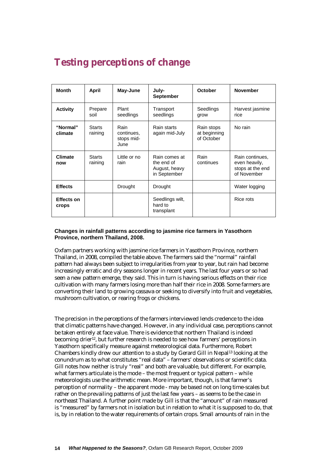# **Testing perceptions of change**

| <b>Month</b>               | April                    | May-June                                 | July-<br><b>September</b>                                    | <b>October</b>                           | <b>November</b>                                                     |  |
|----------------------------|--------------------------|------------------------------------------|--------------------------------------------------------------|------------------------------------------|---------------------------------------------------------------------|--|
| <b>Activity</b>            | Prepare<br>soil          | Plant<br>seedlings                       | Transport<br>Seedlings<br>seedlings<br>grow                  |                                          | Harvest jasmine<br>rice                                             |  |
| "Normal"<br>climate        | <b>Starts</b><br>raining | Rain<br>continues,<br>stops mid-<br>June | Rain starts<br>again mid-July                                | Rain stops<br>at beginning<br>of October | No rain                                                             |  |
| <b>Climate</b><br>now      | <b>Starts</b><br>raining | Little or no<br>rain                     | Rain comes at<br>the end of<br>August, heavy<br>in September | Rain<br>continues                        | Rain continues,<br>even heavily,<br>stops at the end<br>of November |  |
| <b>Effects</b>             |                          | Drought                                  | Drought                                                      |                                          | Water logging                                                       |  |
| <b>Effects on</b><br>crops |                          |                                          | Seedlings wilt,<br>hard to<br>transplant                     |                                          | Rice rots                                                           |  |

#### **Changes in rainfall patterns according to jasmine rice farmers in Yasothorn Province, northern Thailand, 2008.**

Oxfam partners working with jasmine rice farmers in Yasothorn Province, northern Thailand, in 2008, compiled the table above. The farmers said the "normal" rainfall pattern had always been subject to irregularities from year to year, but rain had become increasingly erratic and dry seasons longer in recent years. The last four years or so had seen a new pattern emerge, they said. This in turn is having serious effects on their rice cultivation with many farmers losing more than half their rice in 2008. Some farmers are converting their land to growing cassava or seeking to diversify into fruit and vegetables, mushroom cultivation, or rearing frogs or chickens.

The precision in the perceptions of the farmers interviewed lends credence to the idea that climatic patterns have changed. However, in any individual case, perceptions cannot be taken entirely at face value. There is evidence that northern Thailand is indeed becoming drier12, but further research is needed to see how farmers' perceptions in Yasothorn specifically measure against meteorological data. Furthermore, Robert Chambers kindly drew our attention to a study by Gerard Gill in Nepal13 looking at the conundrum as to what constitutes "real data" – farmers' observations or scientific data. Gill notes how neither is truly "real" and both are valuable, but different. For example, what farmers articulate is the mode – the most frequent or typical pattern – while meteorologists use the arithmetic mean. More important, though, is that farmer's perception of normality – the apparent mode - may be based not on long time-scales but rather on the prevailing patterns of just the last few years – as seems to be the case in northeast Thailand. A further point made by Gill is that the "amount" of rain measured is "measured" by farmers not in isolation but in relation to what it is supposed to do, that is, by in relation to the water requirements of certain crops. Small amounts of rain in the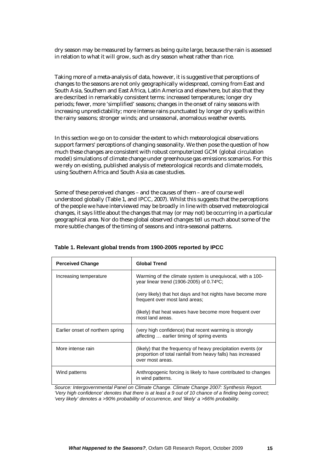dry season may be measured by farmers as being quite large, because the rain is assessed in relation to what it will grow, such as dry season wheat rather than rice.

Taking more of a meta-analysis of data, however, it is suggestive that perceptions of changes to the seasons are not only geographically widespread, coming from East and South Asia, Southern and East Africa, Latin America and elsewhere, but also that they are described in remarkably consistent terms: increased temperatures; longer dry periods; fewer, more 'simplified' seasons; changes in the onset of rainy seasons with increasing unpredictability; more intense rains punctuated by longer dry spells within the rainy seasons; stronger winds; and unseasonal, anomalous weather events.

In this section we go on to consider the extent to which meteorological observations support farmers' perceptions of changing seasonality. We then pose the question of how much these changes are consistent with robust computerized GCM (global circulation model) simulations of climate change under greenhouse gas emissions scenarios. For this we rely on existing, published analysis of meteorological records and climate models, using Southern Africa and South Asia as case studies.

Some of these perceived changes – and the causes of them – are of course well understood globally (Table 1, and IPCC, 2007). Whilst this suggests that the perceptions of the people we have interviewed may be broadly in line with observed meteorological changes, it says little about the changes that may (or may not) be occurring in a particular geographical area. Nor do these global observed changes tell us much about some of the more subtle changes of the timing of seasons and intra-seasonal patterns.

| <b>Perceived Change</b>          | <b>Global Trend</b>                                                                                                                               |
|----------------------------------|---------------------------------------------------------------------------------------------------------------------------------------------------|
| Increasing temperature           | Warming of the climate system is unequivocal, with a 100-<br>year linear trend (1906-2005) of 0.74 °C;                                            |
|                                  | (very likely) that hot days and hot nights have become more<br>frequent over most land areas;                                                     |
|                                  | (likely) that heat waves have become more frequent over<br>most land areas.                                                                       |
| Earlier onset of northern spring | (very high confidence) that recent warming is strongly<br>affecting  earlier timing of spring events                                              |
| More intense rain                | (likely) that the frequency of heavy precipitation events (or<br>proportion of total rainfall from heavy falls) has increased<br>over most areas. |
| Wind patterns                    | Anthropogenic forcing is likely to have contributed to changes<br>in wind patterns.                                                               |

|  |  | Table 1. Relevant global trends from 1900-2005 reported by IPCC |  |  |
|--|--|-----------------------------------------------------------------|--|--|
|  |  |                                                                 |  |  |

*Source: Intergovernmental Panel on Climate Change. Climate Change 2007: Synthesis Report. 'Very high confidence' denotes that there is at least a 9 out of 10 chance of a finding being correct; 'very likely' denotes a >90% probability of occurrence, and 'likely' a >66% probability.*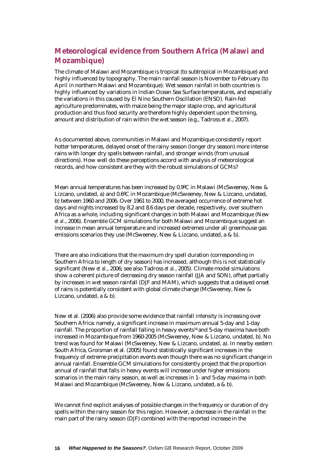## **Meteorological evidence from Southern Africa (Malawi and Mozambique)**

The climate of Malawi and Mozambique is tropical (to subtropical in Mozambique) and highly influenced by topography. The main rainfall season is November to February (to April in northern Malawi and Mozambique). Wet season rainfall in both countries is highly influenced by variations in Indian Ocean Sea Surface temperatures, and especially the variations in this caused by El Nino Southern Oscillation (ENSO). Rain-fed agriculture predominates, with maize being the major staple crop, and agricultural production and thus food security are therefore highly dependent upon the timing, amount and distribution of rain within the wet season (e.g., Tadross *et al*., 2007).

As documented above, communities in Malawi and Mozambique consistently report hotter temperatures, delayed onset of the rainy season (longer dry season) more intense rains with longer dry spells between rainfall, and stronger winds (from unusual directions). How well do these perceptions accord with analysis of meteorological records, and how consistent are they with the robust simulations of GCMs?

Mean annual temperatures has been increased by 0.9ºC in Malawi (McSweeney, New & Lizcano, undated, a) and 0.6ºC in Mozambique (McSweeney, New & Lizcano, undated, b) between 1960 and 2006. Over 1961 to 2000, the averaged occurrence of extreme hot days and nights increased by 8.2 and 8.6 days per decade, respectively, over southern Africa as a whole, including significant changes in both Malawi and Mozambique (New *et al*., 2006). Ensemble GCM simulations for both Malawi and Mozambique suggest an increase in mean annual temperature and increased extremes under all greenhouse gas emissions scenarios they use (McSweeney, New & Lizcano, undated, a & b).

There are also indications that the maximum dry spell duration (corresponding in Southern Africa to length of dry season) has increased, although this is not statistically significant (New *et al*., 2006; see also Tadross *et al.*, 2005). Climate model simulations show a coherent picture of decreasing dry season rainfall (JJA and SON), offset partially by increases in wet season rainfall (DJF and MAM), which suggests that a delayed onset of rains is potentially consistent with global climate change (McSweeney, New & Lizcano, undated, a & b).

New et al. (2006) also provide some evidence that rainfall intensity is increasing over Southern Africa: namely, a significant increase in maximum annual 5-day and 1-day rainfall. The proportion of rainfall falling in heavy events<sup>14</sup> and 5-day maxima have both increased in Mozambique from 1960-2005 (McSweeney, New & Lizcano, undated, b). No trend was found for Malawi (McSweeney, New & Lizcano, undated, a). In nearby eastern South Africa, Groisman et al. (2005) found statistically significant increases in the frequency of extreme precipitation events even though there was no significant change in annual rainfall. Ensemble GCM simulations for consistently project that the proportion annual of rainfall that falls in heavy events will increase under higher emissions scenarios in the main rainy season, as well as increases in 1- and 5-day maxima in both Malawi and Mozambique (McSweeney, New & Lizcano, undated, a & b).

We cannot find explicit analyses of possible changes in the frequency or duration of dry spells within the rainy season for this region. However, a decrease in the rainfall in the main part of the rainy season (DJF) combined with the reported increase in the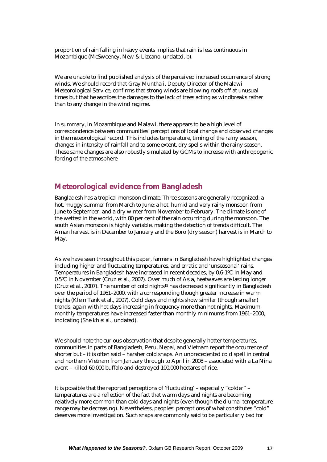proportion of rain falling in heavy events implies that rain is less continuous in Mozambique (McSweeney, New & Lizcano, undated, b).

We are unable to find published analysis of the perceived increased occurrence of strong winds. We should record that Gray Munthali, Deputy Director of the Malawi Meteorological Service, confirms that strong winds are blowing roofs off at unusual times but that he ascribes the damages to the lack of trees acting as windbreaks rather than to any change in the wind regime.

In summary, in Mozambique and Malawi, there appears to be a high level of correspondence between communities' perceptions of local change and observed changes in the meteorological record. This includes temperature, timing of the rainy season, changes in intensity of rainfall and to some extent, dry spells within the rainy season. These same changes are also robustly simulated by GCMs to increase with anthropogenic forcing of the atmosphere

### **Meteorological evidence from Bangladesh**

Bangladesh has a tropical monsoon climate. Three seasons are generally recognized: a hot, muggy summer from March to June; a hot, humid and very rainy monsoon from June to September; and a dry winter from November to February. The climate is one of the wettest in the world, with 80 per cent of the rain occurring during the monsoon. The south Asian monsoon is highly variable, making the detection of trends difficult. The Aman harvest is in December to January and the Boro (dry season) harvest is in March to May.

As we have seen throughout this paper, farmers in Bangladesh have highlighted changes including higher and fluctuating temperatures, and erratic and 'unseasonal' rains. Temperatures in Bangladesh have increased in recent decades, by 0.6-1ºC in May and 0.5ºC in November (Cruz et al., 2007). Over much of Asia, heatwaves are lasting longer (Cruz et al., 2007). The number of cold nights15 has decreased significantly in Bangladesh over the period of 1961–2000, with a corresponding though greater increase in warm nights (Klein Tank et al., 2007). Cold days and nights show similar (though smaller) trends, again with hot days increasing in frequency more than hot nights. Maximum monthly temperatures have increased faster than monthly minimums from 1961–2000, indicating (Sheikh *et al*., undated).

We should note the curious observation that despite generally hotter temperatures, communities in parts of Bangladesh, Peru, Nepal, and Vietnam report the occurrence of shorter but – it is often said – harsher cold snaps. An unprecedented cold spell in central and northern Vietnam from January through to April in 2008 – associated with a La Nina event – killed 60,000 buffalo and destroyed 100,000 hectares of rice.

It is possible that the reported perceptions of 'fluctuating' – especially "colder" – temperatures are a reflection of the fact that warm days and nights are becoming relatively more common than cold days and nights (even though the diurnal temperature range may be decreasing). Nevertheless, peoples' perceptions of what constitutes "cold" deserves more investigation. Such snaps are commonly said to be particularly bad for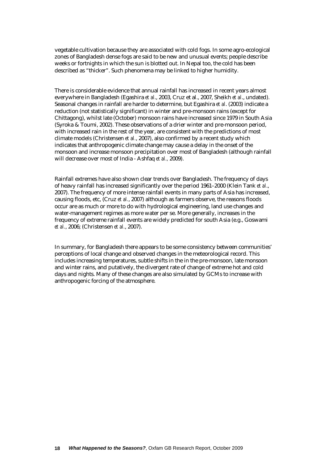vegetable cultivation because they are associated with cold fogs. In some agro-ecological zones of Bangladesh dense fogs are said to be new and unusual events; people describe weeks or fortnights in which the sun is blotted out. In Nepal too, the cold has been described as "thicker". Such phenomena may be linked to higher humidity.

There is considerable evidence that annual rainfall has increased in recent years almost everywhere in Bangladesh (Egashira *et al*., 2003, Cruz et al., 2007, Sheikh *et al*., undated). Seasonal changes in rainfall are harder to determine, but Egashira *et al*. (2003) indicate a reduction (not statistically significant) in winter and pre-monsoon rains (except for Chittagong), whilst late (October) monsoon rains have increased since 1979 in South Asia (Syroka & Toumi, 2002). These observations of a drier winter and pre-monsoon period, with increased rain in the rest of the year, are consistent with the predictions of most climate models (Christensen *et al.*, 2007), also confirmed by a recent study which indicates that anthropogenic climate change may cause a delay in the onset of the monsoon and increase monsoon precipitation over most of Bangladesh (although rainfall will decrease over most of India - Ashfaq *et al.,* 2009).

Rainfall extremes have also shown clear trends over Bangladesh. The frequency of days of heavy rainfall has increased significantly over the period 1961–2000 (Klein Tank *et al*., 2007). The frequency of more intense rainfall events in many parts of Asia has increased, causing floods, etc, (Cruz *et al.*, 2007) although as farmers observe, the reasons floods occur are as much or more to do with hydrological engineering, land use changes and water-management regimes as more water per se. More generally, increases in the frequency of extreme rainfall events are widely predicted for south Asia (e.g., Goswami *et al.*, 2006; (Christensen *et al.*, 2007).

In summary, for Bangladesh there appears to be some consistency between communities' perceptions of local change and observed changes in the meteorological record. This includes increasing temperatures, subtle shifts in the in the pre-monsoon, late monsoon and winter rains, and putatively, the divergent rate of change of extreme hot and cold days and nights. Many of these changes are also simulated by GCMs to increase with anthropogenic forcing of the atmosphere.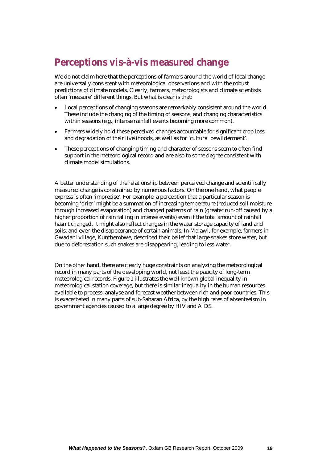# **Perceptions vis-à-vis measured change**

We do not claim here that the perceptions of farmers around the world of local change are universally consistent with meteorological observations and with the robust predictions of climate models. Clearly, farmers, meteorologists and climate scientists often 'measure' different things. But what is clear is that:

- Local perceptions of changing seasons are remarkably consistent around the world. These include the changing of the timing of seasons, and changing characteristics within seasons (e.g., intense rainfall events becoming more common).
- Farmers widely hold these perceived changes accountable for significant crop loss and degradation of their livelihoods, as well as for 'cultural bewilderment'.
- These perceptions of changing timing and character of seasons seem to often find support in the meteorological record and are also to some degree consistent with climate model simulations.

A better understanding of the relationship between perceived change and scientifically measured change is constrained by numerous factors. On the one hand, what people express is often 'imprecise'. For example, a perception that a particular season is becoming 'drier' might be a summation of increasing temperature (reduced soil moisture through increased evaporation) and changed patterns of rain (greater run-off caused by a higher proportion of rain falling in intense events) even if the total amount of rainfall hasn't changed. It might also reflect changes in the water storage capacity of land and soils, and even the disappearance of certain animals. In Malawi, for example, farmers in Gwadani village, Kunthembwe, described their belief that large snakes store water, but due to deforestation such snakes are disappearing, leading to less water.

On the other hand, there are clearly huge constraints on analyzing the meteorological record in many parts of the developing world, not least the paucity of long-term meteorological records. Figure 1 illustrates the well-known global inequality in meteorological station coverage, but there is similar inequality in the human resources available to process, analyse and forecast weather between rich and poor countries. This is exacerbated in many parts of sub-Saharan Africa, by the high rates of absenteeism in government agencies caused to a large degree by HIV and AIDS.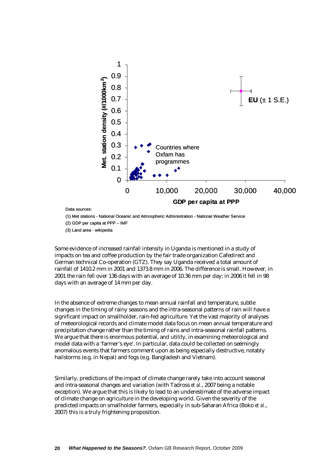

Data sources:

(1) Met stations - National Oceanic and Atmospheric Administration - National Weather Service

(2) GDP per capita at PPP – IMF

(3) Land area - wikipedia

Some evidence of increased rainfall intensity in Uganda is mentioned in a study of impacts on tea and coffee production by the fair trade organization Cafedirect and German technical Co-operation (GTZ). They say Uganda received a total amount of rainfall of 1410.2 mm in 2001 and 1373.8 mm in 2006. The difference is small. However, in 2001 the rain fell over 136 days with an average of 10.36 mm per day; in 2006 it fell in 98 days with an average of 14 mm per day.

In the absence of extreme changes to mean annual rainfall and temperature, subtle changes in the timing of rainy seasons and the intra-seasonal patterns of rain will have a significant impact on smallholder, rain-fed agriculture. Yet the vast majority of analyses of meteorological records and climate model data focus on mean annual temperature and precipitation change rather than the timing of rains and intra-seasonal rainfall patterns. We argue that there is enormous potential, and utility, in examining meteorological and model data with a 'farmer's eye'. In particular, data could be collected on seemingly anomalous events that farmers comment upon as being especially destructive, notably hailstorms (e.g. in Nepal) and fogs (e.g. Bangladesh and Vietnam).

Similarly, predictions of the impact of climate change rarely take into account seasonal and intra-seasonal changes and variation (with Tadross *et al.*, 2007 being a notable exception). We argue that this is likely to lead to an underestimate of the adverse impact of climate change on agriculture in the developing world. Given the severity of the predicted impacts on smallholder farmers, especially in sub-Saharan Africa (Boko *et al*., 2007) this is a truly frightening proposition.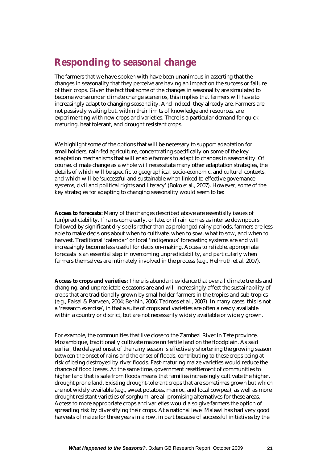# **Responding to seasonal change**

The farmers that we have spoken with have been unanimous in asserting that the changes in seasonality that they perceive are having an impact on the success or failure of their crops. Given the fact that some of the changes in seasonality are simulated to become worse under climate change scenarios, this implies that farmers will have to increasingly adapt to changing seasonality. And indeed, they already are. Farmers are not passively waiting but, within their limits of knowledge and resources, are experimenting with new crops and varieties. There is a particular demand for quick maturing, heat tolerant, and drought resistant crops.

We highlight some of the options that will be necessary to support adaptation for smallholders, rain-fed agriculture, concentrating specifically on some of the key adaptation mechanisms that will enable farmers to adapt to changes in seasonality. Of course, climate change as a whole will necessitate many other adaptation strategies, the details of which will be specific to geographical, socio-economic, and cultural contexts, and which will be 'successful and sustainable when linked to effective governance systems, civil and political rights and literacy' (Boko *et al.*, 2007). However, some of the key strategies for adapting to changing seasonality would seem to be:

**Access to forecasts:** Many of the changes described above are essentially issues of (un)predictability. If rains come early, or late, or if rain comes as intense downpours followed by significant dry spells rather than as prolonged rainy periods, farmers are less able to make decisions about when to cultivate, when to sow, what to sow, and when to harvest. Traditional 'calendar' or local 'indigenous' forecasting systems are and will increasingly become less useful for decision-making. Access to reliable, appropriate forecasts is an essential step in overcoming unpredictability, and particularly when farmers themselves are intimately involved in the process (e.g., Helmuth et al. 2007).

**Access to crops and varieties:** There is abundant evidence that overall climate trends and changing, and unpredictable seasons are and will increasingly affect the sustainability of crops that are traditionally grown by smallholder farmers in the tropics and sub-tropics (e.g., Faisal & Parveen, 2004; Benhin, 2006; Tadross et al., 2007). In many cases, this is not a 'research exercise', in that a suite of crops and varieties are often already available within a country or district, but are not necessarily widely available or widely grown.

For example, the communities that live close to the Zambezi River in Tete province, Mozambique, traditionally cultivate maize on fertile land on the floodplain. As said earlier, the delayed onset of the rainy season is effectively shortening the growing season between the onset of rains and the onset of floods, contributing to these crops being at risk of being destroyed by river floods. Fast-maturing maize varieties would reduce the chance of flood losses. At the same time, government resettlement of communities to higher land that is safe from floods means that families increasingly cultivate the higher, drought prone land. Existing drought-tolerant crops that are sometimes grown but which are not widely available (e.g., sweet potatoes, manioc, and local cowpea), as well as more drought resistant varieties of sorghum, are all promising alternatives for these areas. Access to more appropriate crops and varieties would also give farmers the option of spreading risk by diversifying their crops. At a national level Malawi has had very good harvests of maize for three years in a row, in part because of successful initiatives by the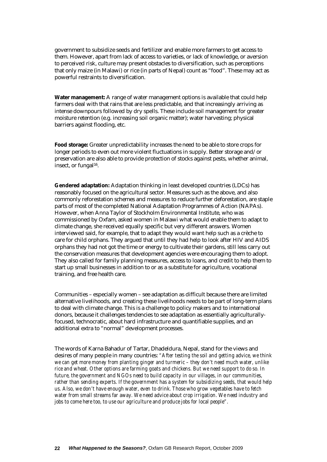government to subsidize seeds and fertilizer and enable more farmers to get access to them. However, apart from lack of access to varieties, or lack of knowledge, or aversion to perceived risk, culture may present obstacles to diversification, such as perceptions that only maize (in Malawi) or rice (in parts of Nepal) count as "food". These may act as powerful restraints to diversification.

**Water management:** A range of water management options is available that could help farmers deal with that rains that are less predictable, and that increasingly arriving as intense downpours followed by dry spells. These include soil management for greater moisture retention (e.g. increasing soil organic matter); water harvesting; physical barriers against flooding, etc.

**Food storage:** Greater unpredictability increases the need to be able to store crops for longer periods to even out more violent fluctuations in supply. Better storage and/or preservation are also able to provide protection of stocks against pests, whether animal, insect, or fungal16.

**Gendered adaptation:** Adaptation thinking in least developed countries (LDCs) has reasonably focused on the agricultural sector. Measures such as the above, and also commonly reforestation schemes and measures to reduce further deforestation, are staple parts of most of the completed National Adaptation Programmes of Action (NAPAs). However, when Anna Taylor of Stockholm Environmental Institute, who was commissioned by Oxfam, asked women in Malawi what would enable them to adapt to climate change, she received equally specific but very different answers. Women interviewed said, for example, that to adapt they would want help such as a crèche to care for child orphans. They argued that until they had help to look after HIV and AIDS orphans they had not got the time or energy to cultivate their gardens, still less carry out the conservation measures that development agencies were encouraging them to adopt. They also called for family planning measures, access to loans, and credit to help them to start up small businesses in addition to or as a substitute for agriculture, vocational training, and free health care.

Communities – especially women – see adaptation as difficult because there are limited alternative livelihoods, and creating these livelihoods needs to be part of long-term plans to deal with climate change. This is a challenge to policy makers and to international donors, because it challenges tendencies to see adaptation as essentially agriculturallyfocused, technocratic, about hard infrastructure and quantifiable supplies, and an additional extra to "normal" development processes.

The words of Karna Bahadur of Tartar, Dhadeldura, Nepal, stand for the views and desires of many people in many countries: *"After testing the soil and getting advice, we think we can get more money from planting ginger and turmeric – they don't need much water, unlike rice and wheat. Other options are farming goats and chickens. But we need support to do so. In future, the government and NGOs need to build capacity in our villages, in our communities, rather than sending experts. If the government has a system for subsidizing seeds, that would help us. Also, we don't have enough water, even to drink. Those who grow vegetables have to fetch water from small streams far away. We need advice about crop irrigation. We need industry and jobs to come here too, to use our agriculture and produce jobs for local people".*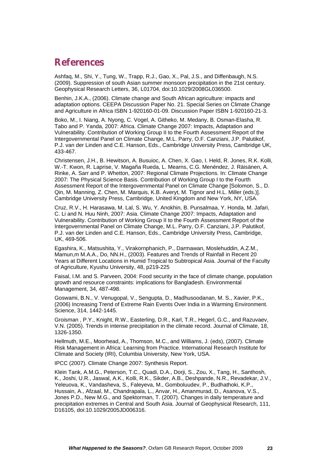## **References**

Ashfaq, M., Shi, Y., Tung, W., Trapp, R.J., Gao, X., Pal, J.S., and Diffenbaugh, N.S. (2009). Suppression of south Asian summer monsoon precipitation in the 21st century. Geophysical Research Letters, 36, L01704, doi:10.1029/2008GL036500.

Benhin, J.K.A., (2006). Climate change and South African agriculture: impacts and adaptation options. CEEPA Discussion Paper No. 21. Special Series on Climate Change and Agriculture in Africa ISBN 1-920160-01-09. Discussion Paper ISBN 1-920160-21-3.

Boko, M., I. Niang, A. Nyong, C. Vogel, A. Githeko, M. Medany, B. Osman-Elasha, R. Tabo and P. Yanda, 2007: Africa. Climate Change 2007: Impacts, Adaptation and Vulnerability. Contribution of Working Group II to the Fourth Assessment Report of the Intergovernmental Panel on Climate Change, M.L. Parry, O.F. Canziani, J.P. Palutikof, P.J. van der Linden and C.E. Hanson, Eds., Cambridge University Press, Cambridge UK, 433-467.

Christensen, J.H., B. Hewitson, A. Busuioc, A. Chen, X. Gao, I. Held, R. Jones, R.K. Kolli, W.-T. Kwon, R. Laprise, V. Magaña Rueda, L. Mearns, C.G. Menéndez, J. Räisänen, A. Rinke, A. Sarr and P. Whetton, 2007: Regional Climate Projections. In: Climate Change 2007: The Physical Science Basis. Contribution of Working Group I to the Fourth Assessment Report of the Intergovernmental Panel on Climate Change [Solomon, S., D. Qin, M. Manning, Z. Chen, M. Marquis, K.B. Averyt, M. Tignor and H.L. Miller (eds.)]. Cambridge University Press, Cambridge, United Kingdom and New York, NY, USA.

Cruz, R.V., H. Harasawa, M. Lal, S. Wu, Y. Anokhin, B. Punsalmaa, Y. Honda, M. Jafari, C. Li and N. Huu Ninh, 2007: Asia. Climate Change 2007: Impacts, Adaptation and Vulnerability. Contribution of Working Group II to the Fourth Assessment Report of the Intergovernmental Panel on Climate Change, M.L. Parry, O.F. Canziani, J.P. Palutikof, P.J. van der Linden and C.E. Hanson, Eds., Cambridge University Press, Cambridge, UK, 469-506.

Egashira, K., Matsushita, Y., Virakornphanich, P., Darmawan, Moslehuddin, A.Z.M., Mamun,m M.A.A., Do, NN.H., (2003). Features and Trends of Rainfall in Recent 20 Years at Different Locations in Humid Tropical to Subtropical Asia. Journal of the Faculty of Agriculture, Kyushu University, 48, p219-225

Faisal, I.M. and S. Parveen, 2004: Food security in the face of climate change, population growth and resource constraints: implications for Bangladesh. Environmental Management, 34, 487-498.

Goswami, B.N., V. Venugopal, V., Sengupta, D., Madhusoodanan, M. S., Xavier, P.K., (2006) Increasing Trend of Extreme Rain Events Over India in a Warming Environment. Science, 314, 1442-1445.

Groisman , P.Y., Knight, R.W., Easterling, D.R., Karl, T.R., Hegerl, G.C., and Razuvaev, V.N. (2005). Trends in intense precipitation in the climate record. Journal of Climate, 18, 1326-1350.

Hellmuth, M.E., Moorhead, A., Thomson, M.C., and Williams, J. (eds), (2007). Climate Risk Management in Africa: Learning from Practice. International Research Institute for Climate and Society (IRI), Columbia University, New York, USA.

IPCC (2007). Climate Change 2007: Synthesis Report.

Klein Tank, A.M.G., Peterson, T.C., Quadi, D.A., Dorji, S., Zou, X., Tang, H., Santhosh, K., Joshi, U.R., Jaswal, A.K., Kolli, R.K., Sikder, A.B., Deshpande, N.R., Revadekar, J.V., Yeleuova, K., Vandasheva, S., Faleyeva, M., Gomboluudev, P., Budhathoki, K.P., Hussain, A., Afzaal, M., Chandrapala, L., Anvar, H., Amanmurad, D., Asanova, V.S., Jones P.D., New M.G., and Spektorman, T. (2007). Changes in daily temperature and precipitation extremes in Central and South Asia. Journal of Geophysical Research, 111, D16105, doi:10.1029/2005JD006316.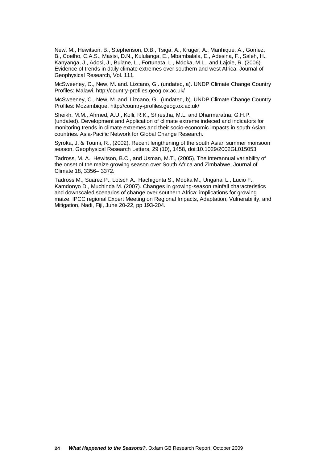New, M., Hewitson, B., Stephenson, D.B., Tsiga, A., Kruger, A., Manhique, A., Gomez, B., Coelho, C.A.S., Masisi, D.N., Kululanga, E., Mbambalala, E., Adesina, F., Saleh, H., Kanyanga, J., Adosi, J., Bulane, L., Fortunata, L., Mdoka, M.L., and Lajoie, R. (2006). Evidence of trends in daily climate extremes over southern and west Africa. Journal of Geophysical Research, Vol. 111.

McSweeney, C., New, M. and. Lizcano, G,. (undated, a). UNDP Climate Change Country Profiles: Malawi. http://country-profiles.geog.ox.ac.uk/

McSweeney, C., New, M. and. Lizcano, G,. (undated, b). UNDP Climate Change Country Profiles: Mozambique. http://country-profiles.geog.ox.ac.uk/

Sheikh, M.M., Ahmed, A.U., Kolli, R.K., Shrestha, M.L. and Dharmaratna, G.H.P. (undated). Development and Application of climate extreme indeced and indicators for monitoring trends in climate extremes and their socio-economic impacts in south Asian countries. Asia-Pacific Network for Global Change Research.

Syroka, J. & Toumi, R., (2002). Recent lengthening of the south Asian summer monsoon season. Geophysical Research Letters, 29 (10), 1458, doi:10.1029/2002GL015053

Tadross, M. A., Hewitson, B.C., and Usman, M.T., (2005), The interannual variability of the onset of the maize growing season over South Africa and Zimbabwe, Journal of Climate 18, 3356– 3372.

Tadross M., Suarez P., Lotsch A., Hachigonta S., Mdoka M., Unganai L., Lucio F., Kamdonyo D., Muchinda M. (2007). Changes in growing-season rainfall characteristics and downscaled scenarios of change over southern Africa: implications for growing maize. IPCC regional Expert Meeting on Regional Impacts, Adaptation, Vulnerability, and Mitigation, Nadi, Fiji, June 20-22, pp 193-204.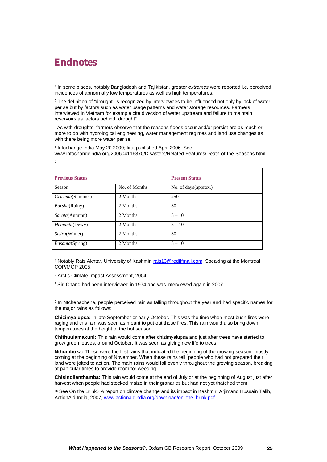# **Endnotes**

<sup>1</sup> In some places, notably Bangladesh and Tajikistan, greater *extremes* were reported i.e. perceived incidences of abnormally low temperatures as well as high temperatures.

<sup>2</sup> The definition of "drought" is recognized by interviewees to be influenced not only by lack of water per se but by factors such as water usage patterns and water storage resources. Farmers interviewed in Vietnam for example cite diversion of water upstream and failure to maintain reservoirs as factors behind "drought".

<sup>3</sup>As with droughts, farmers observe that the reasons floods occur and/or persist are as much or more to do with hydrological engineering, water management regimes and land use changes as with there being more water per se.

<sup>4</sup> Infochange India May 20 2009; first published April 2006. See

www.infochangeindia.org/200604116870/Disasters/Related-Features/Death-of-the-Seasons.html 5

| <b>Previous Status</b>  |               | <b>Present Status</b> |
|-------------------------|---------------|-----------------------|
| Season                  | No. of Months | No. of days (approx.) |
| Grishma(Summer)         | 2 Months      | 250                   |
| <i>Barsha</i> (Rainy)   | 2. Months     | 30                    |
| Sarata(Autumn)          | 2 Months      | $5 - 10$              |
| <i>Hemanta</i> (Dewy)   | 2. Months     | $5 - 10$              |
| Sisira(Winter)          | 2 Months      | 30                    |
| <i>Basanta</i> (Spring) | 2 Months      | $5 - 10$              |

<sup>6</sup> Notably Rais Akhtar, University of Kashmir, rais13@rediffmail.com. Speaking at the Montreal COP/MOP 2005.

<sup>7</sup> Arctic Climate Impact Assessment, 2004.

<sup>8</sup> Siri Chand had been interviewed in 1974 and was interviewed again in 2007.

<sup>9</sup> In Ntchenachena, people perceived rain as falling throughout the year and had specific names for the major rains as follows:

**Chizimyalupsa:** In late September or early October. This was the time when most bush fires were raging and this rain was seen as meant to put out those fires. This rain would also bring down temperatures at the height of the hot season.

**Chithuulamakuni:** This rain would come after chizimyalupsa and just after trees have started to grow green leaves, around October. It was seen as giving new life to trees.

**Nthumbuka:** These were the first rains that indicated the beginning of the growing season, mostly coming at the beginning of November. When these rains fell, people who had not prepared their land were jolted to action. The main rains would fall evenly throughout the growing season, breaking at particular times to provide room for weeding.

**Chisindilanthamba:** This rain would come at the end of July or at the beginning of August just after harvest when people had stocked maize in their granaries but had not yet thatched them.

<sup>10</sup> See On the Brink? A report on climate change and its impact in Kashmir, Arjimand Hussain Talib, ActionAid India, 2007, www.actionaidindia.org/download/on\_the\_brink.pdf.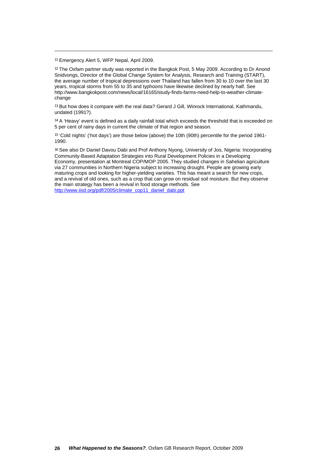<sup>11</sup> Emergency Alert 5, WFP Nepal, April 2009.

 $\overline{a}$ 

<sup>12</sup> The Oxfam partner study was reported in the Bangkok Post, 5 May 2009. According to Dr Anond Snidvongs, Director of the Global Change System for Analysis, Research and Training (START), the average number of tropical depressions over Thailand has fallen from 30 to 10 over the last 30 years, tropical storms from 55 to 35 and typhoons have likewise declined by nearly half. See http://www.bangkokpost.com/news/local/16165/study-finds-farms-need-help-to-weather-climatechange

<sup>13</sup> But how does it compare with the real data? Gerard J Gill, Winrock International, Kathmandu, undated (1991?).

<sup>14</sup> A 'Heavy' event is defined as a daily rainfall total which exceeds the threshold that is exceeded on 5 per cent of rainy days in current the climate of that region and season.

<sup>15</sup> 'Cold nights' ('hot days') are those below (above) the 10th (90th) percentile for the period 1961- 1990.

16 See also Dr Daniel Davou Dabi and Prof Anthony Nyong, University of Jos, Nigeria: Incorporating Community-Based Adaptation Strategies into Rural Development Policies in a Developing Economy, presentation at Montreal COP/MOP 2005. They studied changes in Sahelian agriculture via 27 communities in Northern Nigeria subject to increasing drought. People are growing early maturing crops and looking for higher-yielding varieties. This has meant a search for new crops, and a revival of old ones, such as a crop that can grow on residual soil moisture. But they observe the main strategy has been a revival in food storage methods. See http://www.iisd.org/pdf/2005/climate\_cop11\_daniel\_dabi.ppt